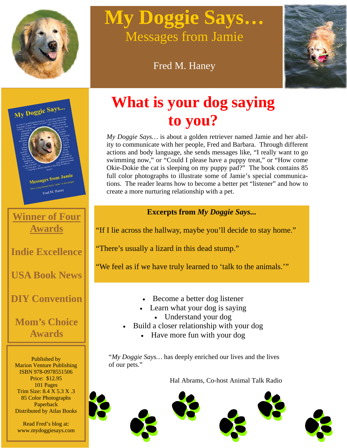

# **My Doggie Says…**  Messages from Jamie

## Fred M. Haney





**Winner of Four Awards**

**Indie Excellence** 

**USA Book News** 

## **DIY Convention**

## **Mom's Choice Awards**

Published by Marion Venture Publishing ISBN 978-0978551506 Price: \$12.95 101 Pages Trim Size: 8.4 X 5.3 X .3 85 Color Photographs Paperback Distributed by Atlas Books

Read Fred's blog at: www.mydoggiesays.com

## **What is your dog saying to you?**

*My Doggie Says…* is about a golden retriever named Jamie and her ability to communicate with her people, Fred and Barbara. Through different actions and body language, she sends messages like, "I really want to go swimming now," or "Could I please have a puppy treat," or "How come Okie-Dokie the cat is sleeping on my puppy pad?" The book contains 85 full color photographs to illustrate some of Jamie's special communications. The reader learns how to become a better pet "listener" and how to create a more nurturing relationship with a pet.

### **Excerpts from** *My Doggie Says...*

"If I lie across the hallway, maybe you'll decide to stay home."

"There's usually a lizard in this dead stump."

"We feel as if we have truly learned to 'talk to the animals.'"

- Become a better dog listener
- Learn what your dog is saying • Understand your dog
- Build a closer relationship with your dog
	- Have more fun with your dog

"*My Doggie Says…* has deeply enriched our lives and the lives of our pets."

Hal Abrams, Co-host Animal Talk Radio